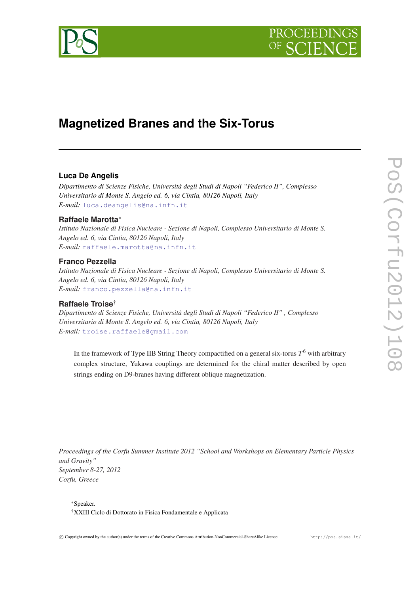

# **Magnetized Branes and the Six-Torus**

## **Luca De Angelis**

*Dipartimento di Scienze Fisiche, Università degli Studi di Napoli "Federico II", Complesso Universitario di Monte S. Angelo ed. 6, via Cintia, 80126 Napoli, Italy E-mail:* [luca.deangelis@na.infn.it](mailto:luca.deangelis@na.infn.it)

## **Raffaele Marotta**<sup>∗</sup>

*Istituto Nazionale di Fisica Nucleare - Sezione di Napoli, Complesso Universitario di Monte S. Angelo ed. 6, via Cintia, 80126 Napoli, Italy E-mail:* [raffaele.marotta@na.infn.it](mailto:raffaele.marotta@na.infn.it)

## **Franco Pezzella**

*Istituto Nazionale di Fisica Nucleare - Sezione di Napoli, Complesso Universitario di Monte S. Angelo ed. 6, via Cintia, 80126 Napoli, Italy E-mail:* [franco.pezzella@na.infn.it](mailto:franco.pezzella@na.infn.it)

## **Raffaele Troise**†

*Dipartimento di Scienze Fisiche, Università degli Studi di Napoli "Federico II" , Complesso Universitario di Monte S. Angelo ed. 6, via Cintia, 80126 Napoli, Italy E-mail:* [troise.raffaele@gmail.com](mailto:troise.raffaele@gmail.com)

In the framework of Type IIB String Theory compactified on a general six-torus *T* <sup>6</sup> with arbitrary complex structure, Yukawa couplings are determined for the chiral matter described by open strings ending on D9-branes having different oblique magnetization.

*Proceedings of the Corfu Summer Institute 2012 "School and Workshops on Elementary Particle Physics and Gravity" September 8-27, 2012 Corfu, Greece*

<sup>∗</sup>Speaker.

<sup>†</sup>XXIII Ciclo di Dottorato in Fisica Fondamentale e Applicata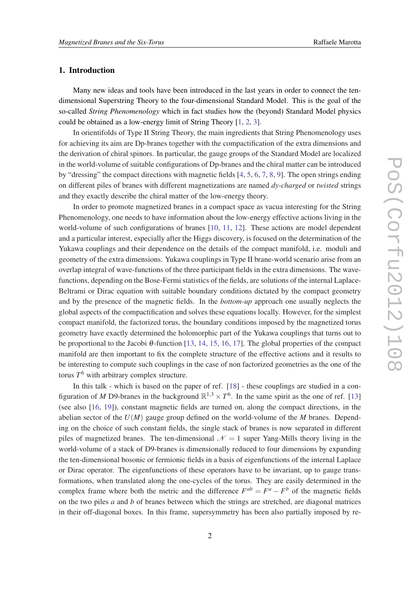## 1. Introduction

Many new ideas and tools have been introduced in the last years in order to connect the tendimensional Superstring Theory to the four-dimensional Standard Model. This is the goal of the so-called *String Phenomenology* which in fact studies how the (beyond) Standard Model physics could be obtained as a low-energy limit of String Theory [\[1,](#page-13-0) [2,](#page-13-0) [3\]](#page-13-0).

In orientifolds of Type II String Theory, the main ingredients that String Phenomenology uses for achieving its aim are Dp-branes together with the compactification of the extra dimensions and the derivation of chiral spinors. In particular, the gauge groups of the Standard Model are localized in the world-volume of suitable configurations of Dp-branes and the chiral matter can be introduced by "dressing" the compact directions with magnetic fields [[4](#page-13-0), [5,](#page-14-0) [6](#page-14-0), [7,](#page-14-0) [8](#page-14-0), [9](#page-14-0)]. The open strings ending on different piles of branes with different magnetizations are named *dy-charged* or *twisted* strings and they exactly describe the chiral matter of the low-energy theory.

In order to promote magnetized branes in a compact space as vacua interesting for the String Phenomenology, one needs to have information about the low-energy effective actions living in the world-volume of such configurations of branes [\[10](#page-14-0), [11](#page-14-0), [12\]](#page-14-0). These actions are model dependent and a particular interest, especially after the Higgs discovery, is focused on the determination of the Yukawa couplings and their dependence on the details of the compact manifold, i.e. moduli and geometry of the extra dimensions. Yukawa couplings in Type II brane-world scenario arise from an overlap integral of wave-functions of the three participant fields in the extra dimensions. The wavefunctions, depending on the Bose-Fermi statistics of the fields, are solutions of the internal Laplace-Beltrami or Dirac equation with suitable boundary conditions dictated by the compact geometry and by the presence of the magnetic fields. In the *bottom-up* approach one usually neglects the global aspects of the compactification and solves these equations locally. However, for the simplest compact manifold, the factorized torus, the boundary conditions imposed by the magnetized torus geometry have exactly determined the holomorphic part of the Yukawa couplings that turns out to be proportional to the Jacobi  $\theta$ -function [\[13](#page-14-0), [14,](#page-14-0) [15](#page-14-0), [16,](#page-14-0) [17\]](#page-14-0). The global properties of the compact manifold are then important to fix the complete structure of the effective actions and it results to be interesting to compute such couplings in the case of non factorized geometries as the one of the torus *T* <sup>6</sup> with arbitrary complex structure.

In this talk - which is based on the paper of ref. [[18\]](#page-14-0) - these couplings are studied in a configuration of *M* D9-branes in the background  $\mathbb{R}^{1,3} \times T^6$ . In the same spirit as the one of ref. [\[13](#page-14-0)] (see also [[16,](#page-14-0) [19](#page-14-0)]), constant magnetic fields are turned on, along the compact directions, in the abelian sector of the *U*(*M*) gauge group defined on the world-volume of the *M* branes. Depending on the choice of such constant fields, the single stack of branes is now separated in different piles of magnetized branes. The ten-dimensional  $\mathcal{N} = 1$  super Yang-Mills theory living in the world-volume of a stack of D9-branes is dimensionally reduced to four dimensions by expanding the ten-dimensional bosonic or fermionic fields in a basis of eigenfunctions of the internal Laplace or Dirac operator. The eigenfunctions of these operators have to be invariant, up to gauge transformations, when translated along the one-cycles of the torus. They are easily determined in the complex frame where both the metric and the difference  $F^{ab} = F^a - F^b$  of the magnetic fields on the two piles *a* and *b* of branes between which the strings are stretched, are diagonal matrices in their off-diagonal boxes. In this frame, supersymmetry has been also partially imposed by re-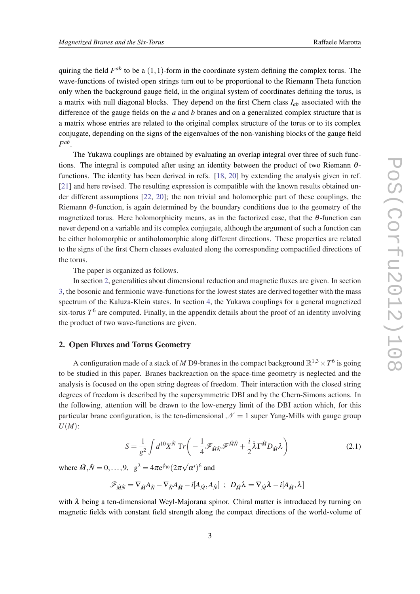<span id="page-2-0"></span>quiring the field  $F^{ab}$  to be a  $(1,1)$ -form in the coordinate system defining the complex torus. The wave-functions of twisted open strings turn out to be proportional to the Riemann Theta function only when the background gauge field, in the original system of coordinates defining the torus, is a matrix with null diagonal blocks. They depend on the first Chern class *Iab* associated with the difference of the gauge fields on the *a* and *b* branes and on a generalized complex structure that is a matrix whose entries are related to the original complex structure of the torus or to its complex conjugate, depending on the signs of the eigenvalues of the non-vanishing blocks of the gauge field *F ab* .

The Yukawa couplings are obtained by evaluating an overlap integral over three of such functions. The integral is computed after using an identity between the product of two Riemann  $\theta$ functions. The identity has been derived in refs. [\[18,](#page-14-0) [20\]](#page-14-0) by extending the analysis given in ref. [[21\]](#page-14-0) and here revised. The resulting expression is compatible with the known results obtained under different assumptions [[22,](#page-14-0) [20](#page-14-0)]; the non trivial and holomorphic part of these couplings, the Riemann  $\theta$ -function, is again determined by the boundary conditions due to the geometry of the magnetized torus. Here holomorphicity means, as in the factorized case, that the θ-function can never depend on a variable and its complex conjugate, although the argument of such a function can be either holomorphic or antiholomorphic along different directions. These properties are related to the signs of the first Chern classes evaluated along the corresponding compactified directions of the torus.

The paper is organized as follows.

In section 2, generalities about dimensional reduction and magnetic fluxes are given. In section [3,](#page-5-0) the bosonic and fermionic wave-functions for the lowest states are derived together with the mass spectrum of the Kaluza-Klein states. In section [4](#page-9-0), the Yukawa couplings for a general magnetized  $s$ ix-torus  $T^6$  are computed. Finally, in the appendix details about the proof of an identity involving the product of two wave-functions are given.

#### 2. Open Fluxes and Torus Geometry

A configuration made of a stack of *M* D9-branes in the compact background  $\mathbb{R}^{1,3} \times T^6$  is going to be studied in this paper. Branes backreaction on the space-time geometry is neglected and the analysis is focused on the open string degrees of freedom. Their interaction with the closed string degrees of freedom is described by the supersymmetric DBI and by the Chern-Simons actions. In the following, attention will be drawn to the low-energy limit of the DBI action which, for this particular brane configuration, is the ten-dimensional  $\mathcal{N} = 1$  super Yang-Mills with gauge group *U*(*M*):

$$
S = \frac{1}{g^2} \int d^{10} X^{\hat{N}} \operatorname{Tr} \left( -\frac{1}{4} \mathcal{F}_{\hat{M}\hat{N}} \mathcal{F}^{\hat{M}\hat{N}} + \frac{i}{2} \bar{\lambda} \Gamma^{\hat{M}} D_{\hat{M}} \lambda \right)
$$
(2.1)

where  $\hat{M}, \hat{N} = 0, \dots, 9, \ \ g^2 = 4\pi e^{\phi_{10}} (2\pi$ √  $\overline{\alpha'}$ <sup>6</sup> and

$$
\mathscr{F}_{\hat{M}\hat{N}} = \nabla_{\hat{M}} A_{\hat{N}} - \nabla_{\hat{N}} A_{\hat{M}} - i [A_{\hat{M}}, A_{\hat{N}}] \ ; \ D_{\hat{M}}\lambda = \nabla_{\hat{M}}\lambda - i [A_{\hat{M}}, \lambda]
$$

with  $\lambda$  being a ten-dimensional Weyl-Majorana spinor. Chiral matter is introduced by turning on magnetic fields with constant field strength along the compact directions of the world-volume of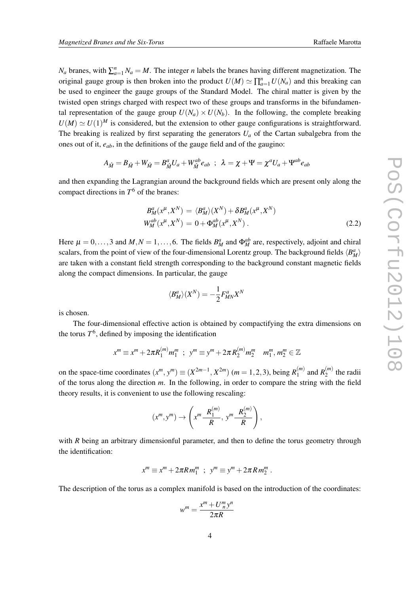<span id="page-3-0"></span>*N<sub>a</sub>* branes, with  $\sum_{a=1}^{n} N_a = M$ . The integer *n* labels the branes having different magnetization. The original gauge group is then broken into the product  $U(M) \simeq \prod_{a=1}^{n} U(N_a)$  and this breaking can be used to engineer the gauge groups of the Standard Model. The chiral matter is given by the twisted open strings charged with respect two of these groups and transforms in the bifundamental representation of the gauge group  $U(N_a) \times U(N_b)$ . In the following, the complete breaking  $U(M) \simeq U(1)^M$  is considered, but the extension to other gauge configurations is straightforward. The breaking is realized by first separating the generators  $U_a$  of the Cartan subalgebra from the ones out of it, *eab*, in the definitions of the gauge field and of the gaugino:

$$
A_{\hat M}=B_{\hat M}+W_{\hat M}=B_{\hat M}^aU_a+W_{\hat M}^{ab}e_{ab} \hspace*{0.2cm} ; \hspace*{0.2cm} \lambda=\chi+\Psi=\chi^aU_a+\Psi^{ab}e_{ab}
$$

and then expanding the Lagrangian around the background fields which are present only along the compact directions in  $T^6$  of the branes:

$$
B_M^a(x^\mu, X^N) = \langle B_M^a \rangle(X^N) + \delta B_M^a(x^\mu, X^N)
$$
  
\n
$$
W_M^{ab}(x^\mu, X^N) = 0 + \Phi_M^{ab}(x^\mu, X^N) .
$$
\n(2.2)

Here  $\mu = 0, \ldots, 3$  and  $M, N = 1, \ldots, 6$ . The fields  $B_M^a$  and  $\Phi_M^{ab}$  are, respectively, adjoint and chiral scalars, from the point of view of the four-dimensional Lorentz group. The background fields  $\langle B_M^a \rangle$ are taken with a constant field strength corresponding to the background constant magnetic fields along the compact dimensions. In particular, the gauge

$$
\langle B_M^a \rangle(X^N) = -\frac{1}{2} F_{MN}^a X^N
$$

is chosen.

The four-dimensional effective action is obtained by compactifying the extra dimensions on the torus  $T^6$ , defined by imposing the identification

$$
x^{m} \equiv x^{m} + 2\pi R_{1}^{(m)} m_{1}^{m} ; y^{m} \equiv y^{m} + 2\pi R_{2}^{(m)} m_{2}^{m} m_{1}^{m}, m_{2}^{m} \in \mathbb{Z}
$$

on the space-time coordinates  $(x^m, y^m) \equiv (X^{2m-1}, X^{2m})$  (*m* = 1, 2, 3), being  $R_1^{(m)}$  $R_1^{(m)}$  and  $R_2^{(m)}$  $2^{(m)}$  the radii of the torus along the direction *m*. In the following, in order to compare the string with the field theory results, it is convenient to use the following rescaling:

$$
(x^m, y^m) \rightarrow \left(x^m \frac{R_1^{(m)}}{R}, y^m \frac{R_2^{(m)}}{R}\right),
$$

with *R* being an arbitrary dimensionful parameter, and then to define the torus geometry through the identification:

$$
x^m \equiv x^m + 2\pi R m_1^m \; ; \; y^m \equiv y^m + 2\pi R m_2^m \; .
$$

The description of the torus as a complex manifold is based on the introduction of the coordinates:

$$
w^m = \frac{x^m + U_m^m y^n}{2\pi R}
$$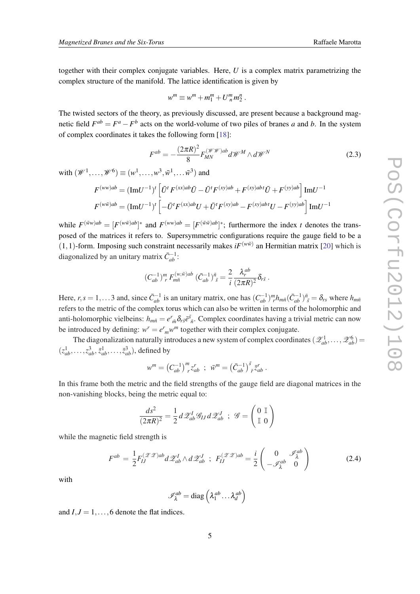<span id="page-4-0"></span>together with their complex conjugate variables. Here, *U* is a complex matrix parametrizing the complex structure of the manifold. The lattice identification is given by

$$
w^m \equiv w^m + m_1^m + U_n^m m_2^n.
$$

The twisted sectors of the theory, as previously discussed, are present because a background magnetic field  $F^{ab} = F^a - F^b$  acts on the world-volume of two piles of branes *a* and *b*. In the system of complex coordinates it takes the following form [[18\]](#page-14-0):

$$
F^{ab} = -\frac{(2\pi R)^2}{8} F_{MN}^{(\mathcal{W}\mathcal{W})ab} d\mathcal{W}^M \wedge d\mathcal{W}^N \tag{2.3}
$$

with  $(\mathscr{W}^1,\ldots,\mathscr{W}^6)\equiv(w^1,\ldots,w^3,\bar{w}^1,\ldots\bar{w}^3)$  and

$$
F^{(ww)ab} = (\text{Im} U^{-1})^t \left[ \bar{U}^t F^{(xx)ab} \bar{U} - \bar{U}^t F^{(xy)ab} + F^{(xy)abt} \bar{U} + F^{(yy)ab} \right] \text{Im} U^{-1}
$$

$$
F^{(w\bar{w})ab} = (\text{Im} U^{-1})^t \left[ -\bar{U}^t F^{(xx)ab} U + \bar{U}^t F^{(xy)ab} - F^{(xy)abt} U - F^{(yy)ab} \right] \text{Im} U^{-1}
$$

while  $F^{(\bar{w}w)ab} = [F^{(w\bar{w})ab}]^*$  and  $F^{(ww)ab} = [F^{(\bar{w}\bar{w})ab}]^*$ ; furthermore the index *t* denotes the transposed of the matrices it refers to. Supersymmetric configurations require the gauge field to be a  $(1,1)$ -form. Imposing such constraint necessarily makes  $iF^{(w\bar{w})}$  an Hermitian matrix [[20\]](#page-14-0) which is diagonalized by an unitary matrix  $\bar{C}_{ab}^{-1}$ :

$$
(C_{ab}^{-1})^m{}_r F_{m\bar{n}}^{(w,\bar{w})ab} (\bar{C}_{ab}^{-1})^{\bar{n}}_{\bar{s}} = \frac{2}{i} \frac{\lambda_r^{ab}}{(2\pi R)^2} \delta_{r\bar{s}}.
$$

Here,  $r, s = 1, \ldots 3$  and, since  $\bar{C}_{ab}^{-1}$  is an unitary matrix, one has  $(C_{ab}^{-1})^m r h_{m\bar{n}} (\bar{C}_{ab}^{-1})^{\bar{n}}_{\bar{s}} = \delta_{rs}$  where  $h_{m\bar{n}}$ refers to the metric of the complex torus which can also be written in terms of the holomorphic and anti-holomorphic vielbeins:  $h_{m\bar{n}} = e^r_{m} \delta_{rs} \bar{e}^s_{\bar{n}}$ . Complex coordinates having a trivial metric can now be introduced by defining:  $w^r = e^r_m w^m$  together with their complex conjugate.

The diagonalization naturally introduces a new system of complex coordinates  $(\mathscr{Z}_{ab}^1, \ldots, \mathscr{Z}_{ab}^6)$  =  $(z_{ab}^1, \ldots, z_{ab}^3, \bar{z}_{ab}^1, \ldots, \bar{z}_{ab}^3)$ , defined by

$$
w^m = (C_{ab}^{-1})^m{}_r z_{ab}^r ; \ \ \bar{w}^m = (\bar{C}_{ab}^{-1})^{\bar{s}}{}_{\bar{r}} \bar{z}_{ab}^r.
$$

In this frame both the metric and the field strengths of the gauge field are diagonal matrices in the non-vanishing blocks, being the metric equal to:

$$
\frac{ds^2}{(2\pi R)^2} = \frac{1}{2} d\mathscr{Z}_{ab}^I \mathscr{G}_{IJ} d\mathscr{Z}_{ab}^J ; \ \mathscr{G} = \begin{pmatrix} 0 \\ \mathbb{I} \\ 0 \end{pmatrix}
$$

while the magnetic field strength is

$$
F^{ab} = \frac{1}{2} F_{IJ}^{(\mathscr{Z} \mathscr{Z})ab} d\mathscr{Z}_{ab}^I \wedge d\mathscr{Z}_{ab}^J ; \ F_{IJ}^{(\mathscr{Z} \mathscr{Z})ab} = \frac{i}{2} \begin{pmatrix} 0 & \mathscr{I}_{\lambda}^{ab} \\ -\mathscr{I}_{\lambda}^{ab} & 0 \end{pmatrix}
$$
(2.4)

with

$$
\mathscr{I}_{\lambda}^{ab} = \text{diag}\left(\lambda_1^{ab} \dots \lambda_d^{ab}\right)
$$

and  $I, J = 1, \ldots, 6$  denote the flat indices.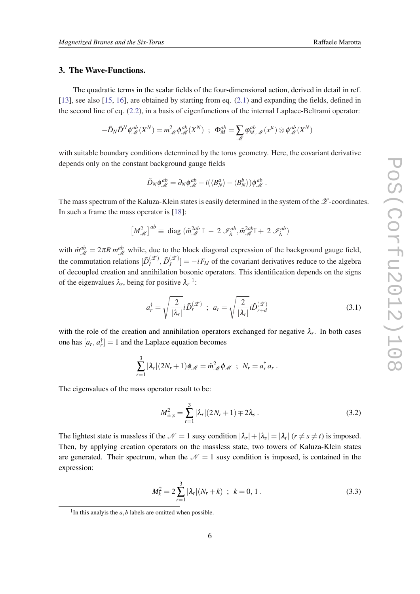#### <span id="page-5-0"></span>3. The Wave-Functions.

The quadratic terms in the scalar fields of the four-dimensional action, derived in detail in ref. [[13\]](#page-14-0), see also [\[15](#page-14-0), [16\]](#page-14-0), are obtained by starting from eq.  $(2.1)$  $(2.1)$  $(2.1)$  and expanding the fields, defined in the second line of eq. [\(2.2\)](#page-3-0), in a basis of eigenfunctions of the internal Laplace-Beltrami operator:

$$
-\tilde{D}_N\tilde{D}^N\phi_{\mathscr{M}}^{ab}(X^N) = m_{\mathscr{M}}^2\phi_{\mathscr{M}}^{ab}(X^N) \ ; \ \ \Phi_M^{ab} = \sum_{\mathscr{M}}\varphi_{M,\mathscr{M}}^{ab}(x^{\mu})\otimes\phi_{\mathscr{M}}^{ab}(X^N)
$$

with suitable boundary conditions determined by the torus geometry. Here, the covariant derivative depends only on the constant background gauge fields

$$
\tilde{D}_N\phi^{ab}_{\mathscr{M}}=\partial_N\phi^{ab}_{\mathscr{M}}-i(\langle B_N^a\rangle-\langle B_N^b\rangle)\phi^{ab}_{\mathscr{M}}\ .
$$

The mass spectrum of the Kaluza-Klein states is easily determined in the system of the  $\mathscr Z$ -coordinates. In such a frame the mass operator is [[18\]](#page-14-0):

$$
\left[M_{\mathscr{M}}^2\right]^{ab}\equiv\text{ diag }(\tilde{m}_{\mathscr{M}}^{2ab}\,\mathbb{I}\,-\,2\,\mathscr{I}_{\lambda}^{ab},\tilde{m}_{\mathscr{M}}^{2ab}\mathbb{I}\,+\,2\,\mathscr{I}_{\lambda}^{ab})
$$

with  $\tilde{m}_{\mathcal{M}}^{ab} = 2\pi R \, m_{\mathcal{M}}^{ab}$  while, due to the block diagonal expression of the background gauge field, the commutation relations  $[\tilde{D}^{(\mathscr{Z})}_I]$  $\tilde{D}_J^{(\mathscr{Z})}, \tilde{D}_J^{(\mathscr{Z})}$  $\left[\frac{z}{J}\right] = -iF_{IJ}$  of the covariant derivatives reduce to the algebra of decoupled creation and annihilation bosonic operators. This identification depends on the signs of the eigenvalues  $\lambda_r$ , being for positive  $\lambda_r$ <sup>1</sup>:

$$
a_r^{\dagger} = \sqrt{\frac{2}{|\lambda_r|}} i \tilde{D}_r^{(\mathscr{Z})} \; ; \; a_r = \sqrt{\frac{2}{|\lambda_r|}} i \tilde{D}_{r+d}^{(\mathscr{Z})} \tag{3.1}
$$

with the role of the creation and annihilation operators exchanged for negative  $\lambda_r$ . In both cases one has  $[a_r, a_r^{\dagger}] = 1$  and the Laplace equation becomes

$$
\sum_{r=1}^3 |\lambda_r|(2N_r+1)\phi_{\mathscr{M}} = \tilde{m}_{\mathscr{M}}^2 \phi_{\mathscr{M}} \; ; \; N_r = a_r^{\dagger} a_r \, .
$$

The eigenvalues of the mass operator result to be:

$$
M_{\pm;s}^2 = \sum_{r=1}^3 |\lambda_r|(2N_r+1) \mp 2\lambda_s \,. \tag{3.2}
$$

The lightest state is massless if the  $\mathcal{N} = 1$  susy condition  $|\lambda_r| + |\lambda_s| = |\lambda_t|$  ( $r \neq s \neq t$ ) is imposed. Then, by applying creation operators on the massless state, two towers of Kaluza-Klein states are generated. Their spectrum, when the  $\mathcal{N} = 1$  susy condition is imposed, is contained in the expression:

$$
M_k^2 = 2\sum_{r=1}^3 |\lambda_r|(N_r + k) \; ; \; k = 0, 1 \; . \tag{3.3}
$$

<sup>&</sup>lt;sup>1</sup>In this analyis the  $a$ ,  $b$  labels are omitted when possible.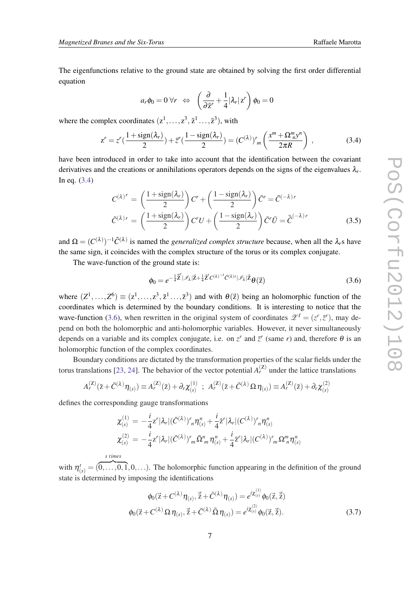<span id="page-6-0"></span>The eigenfunctions relative to the ground state are obtained by solving the first order differential equation

$$
a_r \phi_0 = 0 \,\forall r \Leftrightarrow \left( \frac{\partial}{\partial \bar{z}^r} + \frac{1}{4} |\lambda_r| z^r \right) \phi_0 = 0
$$

where the complex coordinates  $(z^1, \ldots, z^3, \bar{z}^1 \ldots, \bar{z}^3)$ , with

$$
z^{r} = z^{r} \left(\frac{1+\text{sign}(\lambda_{r})}{2}\right) + \bar{z}^{r} \left(\frac{1-\text{sign}(\lambda_{r})}{2}\right) = \left(C^{(\lambda)}\right)^{r} m \left(\frac{x^{m} + \Omega_{n}^{m} y^{n}}{2\pi R}\right) ,\qquad (3.4)
$$

have been introduced in order to take into account that the identification between the covariant derivatives and the creations or annihilations operators depends on the signs of the eigenvalues λ*<sup>r</sup>* . In eq. (3.4)

$$
C^{(\lambda)^r} = \left(\frac{1 + \text{sign}(\lambda_r)}{2}\right) C^r + \left(\frac{1 - \text{sign}(\lambda_r)}{2}\right) \bar{C}^r = \bar{C}^{(-\lambda)r}
$$

$$
\tilde{C}^{(\lambda)r} = \left(\frac{1 + \text{sign}(\lambda_r)}{2}\right) C^r U + \left(\frac{1 - \text{sign}(\lambda_r)}{2}\right) \bar{C}^r \bar{U} = \bar{\tilde{C}}^{(-\lambda)r}
$$
(3.5)

and  $\Omega = (C^{(\lambda)})^{-1}\tilde{C}^{(\lambda)}$  is named the *generalized complex structure* because, when all the  $\lambda_r$ s have the same sign, it coincides with the complex structure of the torus or its complex conjugate.

The wave-function of the ground state is:

$$
\phi_0 = e^{-\frac{1}{4}\vec{\mathbf{Z}}^t|\mathcal{I}_\lambda|\vec{\mathbf{Z}} + \frac{1}{4}\vec{\mathbf{Z}}^t C^{(\lambda)^{-t}} \vec{C}^{(\lambda)t}|\mathcal{I}_\lambda|\vec{\mathbf{Z}}}\theta(\vec{\mathbf{Z}})
$$
\n(3.6)

where  $(Z^1, \ldots, Z^6) \equiv (z^1, \ldots, z^3, \bar{z}^1 \ldots, \bar{z}^3)$  and with  $\theta(\bar{z})$  being an holomorphic function of the coordinates which is determined by the boundary conditions. It is interesting to notice that the wave-function (3.6), when rewritten in the original system of coordinates  $\mathscr{Z}^I = (z^r, \bar{z}^r)$ , may depend on both the holomorphic and anti-holomorphic variables. However, it never simultaneously depends on a variable and its complex conjugate, i.e. on  $z^r$  and  $\bar{z}^r$  (same *r*) and, therefore  $\theta$  is an holomorphic function of the complex coordinates.

Boundary conditions are dictated by the transformation properties of the scalar fields under the torus translations [[23](#page-14-0), [24\]](#page-14-0). The behavior of the vector potential  $A<sub>r</sub><sup>(Z)</sup>$  under the lattice translations

$$
A_r^{(\mathbf{Z})}(\bar{z}+\bar{C}^{(\lambda)}\eta_{(s)})\equiv A_r^{(\mathbf{Z})}(\bar{z})+\partial_r\chi^{(1)}_{(s)}\ ;\ A_r^{(\mathbf{Z})}(\bar{z}+\bar{C}^{(\lambda)}\,\Omega\,\eta_{(s)})\equiv A_r^{(\mathbf{Z})}(\bar{z})+\partial_r\chi^{(2)}_{(s)}
$$

defines the corresponding gauge transformations

$$
\chi_{(s)}^{(1)} = -\frac{i}{4}z^r |\lambda_r| (\bar{C}^{(\lambda)})^r n \eta_{(s)}^n + \frac{i}{4} \bar{z}^r |\lambda_r| (C^{(\lambda)})^r n \eta_{(s)}^n \n\chi_{(s)}^{(2)} = -\frac{i}{4} z^r |\lambda_r| (\bar{C}^{(\lambda)})^r m \bar{\Omega}^n m \eta_{(s)}^n + \frac{i}{4} \bar{z}^r |\lambda_r| (C^{(\lambda)})^r m \Omega^n m \eta_{(s)}^n
$$

*s times*

with  $\eta_{(s)}^t = (0, \ldots, 0, 1, 0, \ldots)$ . The holomorphic function appearing in the definition of the ground state is determined by imposing the identifications

$$
\phi_0(\vec{z} + C^{(\lambda)} \eta_{(s)}, \vec{\bar{z}} + \bar{C}^{(\lambda)} \eta_{(s)}) = e^{i \chi_{(s)}^{(1)}} \phi_0(\vec{z}, \vec{\bar{z}})
$$
  

$$
\phi_0(\vec{z} + C^{(\lambda)} \Omega \eta_{(s)}, \vec{\bar{z}} + \bar{C}^{(\lambda)} \bar{\Omega} \eta_{(s)}) = e^{i \chi_{(s)}^{(2)}} \phi_0(\vec{z}, \vec{\bar{z}}).
$$
 (3.7)

 $(1)$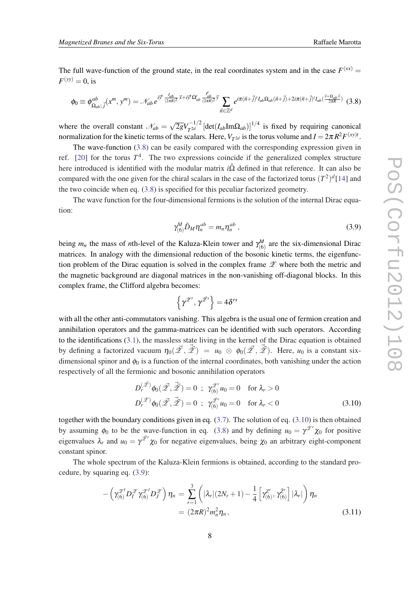<span id="page-7-0"></span>The full wave-function of the ground state, in the real coordinates system and in the case  $F^{(xx)}$  =  $F^{(yy)} = 0$ , is

$$
\phi_0 \equiv \phi^{ab}_{\Omega_{ab}; \vec{j}}(x^m, y^m) = \mathcal{N}_{ab} e^{i\vec{y}^t \frac{I_{ab}}{(2\pi R)^2} \vec{x} + i\vec{y}^t \Omega_{ab}^t \frac{I_{ab}^t}{(2\pi R)^2} \vec{y}} \sum_{\vec{n} \in \mathbb{Z}^d} e^{i\pi(\vec{n} + \vec{j})^t I_{ab} \Omega_{ab}(\vec{n} + \vec{j}) + 2i\pi(\vec{n} + \vec{j})^t I_{ab}(\frac{\vec{x} + \Omega_{ab} \vec{y}}{2\pi R})} (3.8)
$$

where the overall constant  $\mathcal{N}_{ab} =$  $\sqrt{2g}V_{T^{2d}}^{-1/2}$  [det(*I<sub>ab</sub>*Im $\Omega_{ab}$ )]<sup>1/4</sup> is fixed by requiring canonical normalization for the kinetic terms of the scalars. Here,  $V_{T^{2d}}$  is the torus volume and  $I = 2\pi R^2 F^{(xy)t}$ .

The wave-function (3.8) can be easily compared with the corresponding expression given in ref. [[20\]](#page-14-0) for the torus  $T<sup>4</sup>$ . The two expressions coincide if the generalized complex structure here introduced is identified with the modular matrix *i*Ω defined in that reference. It can also be compared with the one given for the chiral scalars in the case of the factorized torus  $(T^2)^d$  [[14\]](#page-14-0) and the two coincide when eq. (3.8) is specified for this peculiar factorized geometry.

The wave function for the four-dimensional fermions is the solution of the internal Dirac equation:

$$
\gamma_{(6)}^M \tilde{D}_M \eta_n^{ab} = m_n \eta_n^{ab} , \qquad (3.9)
$$

being  $m_n$  the mass of *n*th-level of the Kaluza-Klein tower and  $\gamma_{(6)}^M$  are the six-dimensional Dirac matrices. In analogy with the dimensional reduction of the bosonic kinetic terms, the eigenfunction problem of the Dirac equation is solved in the complex frame  $\mathscr X$  where both the metric and the magnetic background are diagonal matrices in the non-vanishing off-diagonal blocks. In this complex frame, the Clifford algebra becomes:

$$
\left\{\gamma^{\mathscr{Z}^r},\gamma^{\bar{\mathscr{Z}^s}}\right\}=4\delta^{rs}
$$

with all the other anti-commutators vanishing. This algebra is the usual one of fermion creation and annihilation operators and the gamma-matrices can be identified with such operators. According to the identifications [\(3.1\)](#page-5-0), the massless state living in the kernel of the Dirac equation is obtained by defining a factorized vacuum  $\eta_0(\vec{\mathscr{Z}}, \vec{\mathscr{Z}}) = u_0 \otimes \phi_0(\vec{\mathscr{Z}}, \vec{\mathscr{Z}})$ . Here,  $u_0$  is a constant sixdimensional spinor and  $\phi_0$  is a function of the internal coordinates, both vanishing under the action respectively of all the fermionic and bosonic annihilation operators

$$
D_r^{(\tilde{\mathscr{L}})} \phi_0(\tilde{\mathscr{L}}, \tilde{\mathscr{L}}) = 0 \; ; \; \gamma_{(6)}^{\tilde{\mathscr{L}}'} u_0 = 0 \quad \text{for } \lambda_r > 0
$$
  

$$
D_r^{(\tilde{\mathscr{L}})} \phi_0(\tilde{\mathscr{L}}, \tilde{\mathscr{L}}) = 0 \; ; \; \gamma_{(6)}^{\tilde{\mathscr{L}}'} u_0 = 0 \quad \text{for } \lambda_r < 0
$$
 (3.10)

together with the boundary conditions given in eq. [\(3.7\)](#page-6-0). The solution of eq. (3.10) is then obtained by assuming  $\phi_0$  to be the wave-function in eq. (3.8) and by defining  $u_0 = \gamma^{\mathscr{Z}^r} \chi_0$  for positive eigenvalues  $\lambda_r$  and  $u_0 = \gamma^{\mathscr{Z}^r} \chi_0$  for negative eigenvalues, being  $\chi_0$  an arbitrary eight-component constant spinor.

The whole spectrum of the Kaluza-Klein fermions is obtained, according to the standard procedure, by squaring eq. (3.9):

$$
- \left( \gamma_{(6)}^{\mathscr{Z}^I} D_I^{\mathscr{Z}} \gamma_{(6)}^{\mathscr{Z}^J} D_J^{\mathscr{Z}} \right) \eta_n = \sum_{r=1}^3 \left( |\lambda_r| (2N_r + 1) - \frac{1}{4} \left[ \gamma_{(6)}^{\mathscr{Z}^r}, \gamma_{(6)}^{\bar{\mathscr{Z}}^r} \right] |\lambda_r| \right) \eta_n
$$
  
=  $(2\pi R)^2 m_n^2 \eta_n$ , (3.11)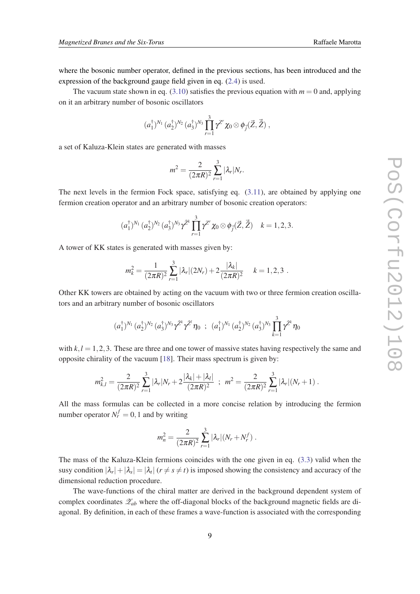where the bosonic number operator, defined in the previous sections, has been introduced and the expression of the background gauge field given in eq. [\(2.4\)](#page-4-0) is used.

The vacuum state shown in eq.  $(3.10)$  $(3.10)$  satisfies the previous equation with  $m = 0$  and, applying on it an arbitrary number of bosonic oscillators

$$
(a_1^{\dagger})^{N_1} (a_2^{\dagger})^{N_2} (a_3^{\dagger})^{N_3} \prod_{r=1}^3 \gamma^{Z^r} \chi_0 \otimes \phi_{\vec{j}}(\vec{Z}, \vec{\tilde{Z}}),
$$

a set of Kaluza-Klein states are generated with masses

$$
m^2 = \frac{2}{(2\pi R)^2} \sum_{r=1}^3 |\lambda_r| N_r.
$$

The next levels in the fermion Fock space, satisfying eq. ([3.11\)](#page-7-0), are obtained by applying one fermion creation operator and an arbitrary number of bosonic creation operators:

$$
(a_1^{\dagger})^{N_1} (a_2^{\dagger})^{N_2} (a_3^{\dagger})^{N_3} \gamma^{\bar{Z}^k} \prod_{r=1}^3 \gamma^{Z^r} \chi_0 \otimes \phi_{\vec{j}}(\vec{Z}, \vec{\bar{Z}}) \quad k = 1, 2, 3.
$$

A tower of KK states is generated with masses given by:

$$
m_k^2 = \frac{1}{(2\pi R)^2} \sum_{r=1}^3 |\lambda_r|(2N_r) + 2\frac{|\lambda_k|}{(2\pi R)^2} \quad k = 1, 2, 3.
$$

Other KK towers are obtained by acting on the vacuum with two or three fermion creation oscillators and an arbitrary number of bosonic oscillators

$$
(a_1^{\dagger})^{N_1} (a_2^{\dagger})^{N_2} (a_3^{\dagger})^{N_3} \gamma^{\bar{Z}^k} \gamma^{\bar{Z}^l} \eta_0 ; (a_1^{\dagger})^{N_1} (a_2^{\dagger})^{N_2} (a_3^{\dagger})^{N_3} \prod_{k=1}^3 \gamma^{\bar{Z}^k} \eta_0
$$

with  $k, l = 1, 2, 3$ . These are three and one tower of massive states having respectively the same and opposite chirality of the vacuum [[18\]](#page-14-0). Their mass spectrum is given by:

$$
m_{k,l}^2 = \frac{2}{(2\pi R)^2} \sum_{r=1}^3 |\lambda_r| N_r + 2 \frac{|\lambda_k| + |\lambda_l|}{(2\pi R)^2} \; ; \; \; m^2 = \frac{2}{(2\pi R)^2} \sum_{r=1}^3 |\lambda_r| (N_r + 1) \; .
$$

All the mass formulas can be collected in a more concise relation by introducing the fermion number operator  $N_r^f = 0, 1$  and by writing

$$
m_n^2 = \frac{2}{(2\pi R)^2} \sum_{r=1}^3 |\lambda_r| (N_r + N_r^f).
$$

The mass of the Kaluza-Klein fermions coincides with the one given in eq. [\(3.3\)](#page-5-0) valid when the susy condition  $|\lambda_r| + |\lambda_s| = |\lambda_t|$  ( $r \neq s \neq t$ ) is imposed showing the consistency and accuracy of the dimensional reduction procedure.

The wave-functions of the chiral matter are derived in the background dependent system of complex coordinates  $\mathscr{Z}_{ab}$  where the off-diagonal blocks of the background magnetic fields are diagonal. By definition, in each of these frames a wave-function is associated with the corresponding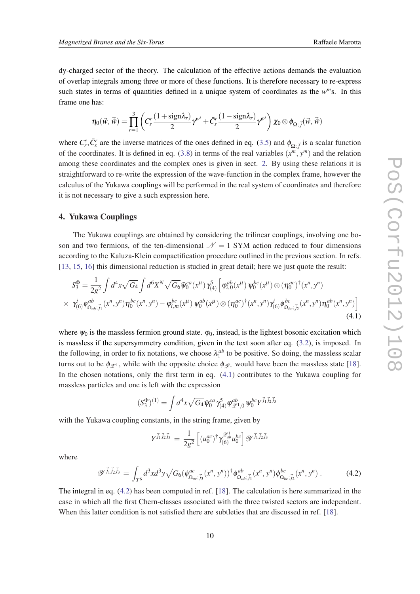<span id="page-9-0"></span>dy-charged sector of the theory. The calculation of the effective actions demands the evaluation of overlap integrals among three or more of these functions. It is therefore necessary to re-express such states in terms of quantities defined in a unique system of coordinates as the  $w^m$ s. In this frame one has:

$$
\eta_0(\vec{w},\vec{\tilde{w}})=\prod_{r=1}^3\left(C_s^r\frac{(1+\text{sign}\lambda_r)}{2}\gamma^{\tilde{w}^s}+\bar{C}_s^r\frac{(1-\text{sign}\lambda_r)}{2}\gamma^{\tilde{w}^s}\right)\chi_0\otimes\phi_{\Omega;\vec{j}}(\vec{w},\vec{\tilde{w}})
$$

where  $C_r^s$ ,  $\bar{C}_s^r$  are the inverse matrices of the ones defined in eq. ([3.5](#page-6-0)) and  $\phi_{\Omega;\vec{j}}$  is a scalar function of the coordinates. It is defined in eq. ([3.8\)](#page-7-0) in terms of the real variables  $(x^m, y^m)$  and the relation among these coordinates and the complex ones is given in sect. [2.](#page-2-0) By using these relations it is straightforward to re-write the expression of the wave-function in the complex frame, however the calculus of the Yukawa couplings will be performed in the real system of coordinates and therefore it is not necessary to give a such expression here.

#### 4. Yukawa Couplings

The Yukawa couplings are obtained by considering the trilinear couplings, involving one boson and two fermions, of the ten-dimensional  $\mathcal{N} = 1$  SYM action reduced to four dimensions according to the Kaluza-Klein compactification procedure outlined in the previous section. In refs. [[13,](#page-14-0) [15](#page-14-0), [16\]](#page-14-0) this dimensional reduction is studied in great detail; here we just quote the result:

$$
S_3^{\Phi} = \frac{1}{2g^2} \int d^4x \sqrt{G_4} \int d^6x^N \sqrt{G_6} \bar{\psi}_0^{ca}(x^{\mu}) \gamma_{(4)}^5 \left[ \varphi_{i,0}^{ab}(x^{\mu}) \psi_0^{bc}(x^{\mu}) \otimes (\eta_0^{ac})^{\dagger} (x^n, y^n) \right. \\
 \times \gamma_{(6)}^i \phi_{\Omega_{ab};\vec{j}_1}^{ab}(x^n, y^n) \eta_0^{bc}(x^n, y^n) - \varphi_{i,m}^{bc}(x^{\mu}) \psi_0^{ab}(x^{\mu}) \otimes (\eta_0^{ac})^{\dagger} (x^n, y^n) \gamma_{(6)}^i \phi_{\Omega_{bc};\vec{j}_2}^{bc}(x^n, y^n) \eta_0^{ab}(x^n, y^n) \right]
$$
\n(4.1)

where  $\psi_0$  is the massless fermion ground state.  $\varphi_0$ , instead, is the lightest bosonic excitation which is massless if the supersymmetry condition, given in the text soon after eq. [\(3.2\)](#page-5-0), is imposed. In the following, in order to fix notations, we choose  $\lambda_1^{ab}$  to be positive. So doing, the massless scalar turns out to be  $\phi_{\mathscr{Z}^1}$ , while with the opposite choice  $\phi_{\mathscr{Z}^1}$  would have been the massless state [[18\]](#page-14-0). In the chosen notations, only the first term in eq. (4.1) contributes to the Yukawa coupling for massless particles and one is left with the expression

$$
(S_3^{\Phi})^{(1)} = \int d^4x \sqrt{G_4} \bar{\Psi}_0^{ca} \gamma_{(4)}^5 \varphi_{\mathscr{Z}^1,0}^{ab} \Psi_0^{bc} Y^{\vec{j}_1 \vec{j}_2 \vec{j}_3}
$$

with the Yukawa coupling constants, in the string frame, given by

$$
Y^{\vec{j}_1 \vec{j}_2 \vec{j}_3} = \frac{1}{2g^2} \left[ (u_0^{ac})^{\dagger} \gamma_{(6)}^{\mathscr{Z}_{ab}^1} u_0^{bc} \right] \mathscr{Y}^{\vec{j}_1 \vec{j}_2 \vec{j}_3}
$$

where

$$
\mathscr{Y}^{\vec{j}_1 \vec{j}_2 \vec{j}_3} = \int_{T^6} d^3x d^3y \sqrt{G_6} (\phi^{ac}_{\Omega_{ac};\vec{j}_3}(x^n, y^n))^{\dagger} \phi^{ab}_{\Omega_{ab};\vec{j}_1}(x^n, y^n) \phi^{bc}_{\Omega_{bc};\vec{j}_2}(x^n, y^n) . \tag{4.2}
$$

The integral in eq. (4.2) has been computed in ref. [\[18](#page-14-0)]. The calculation is here summarized in the case in which all the first Chern-classes associated with the three twisted sectors are independent. When this latter condition is not satisfied there are subtleties that are discussed in ref. [\[18](#page-14-0)].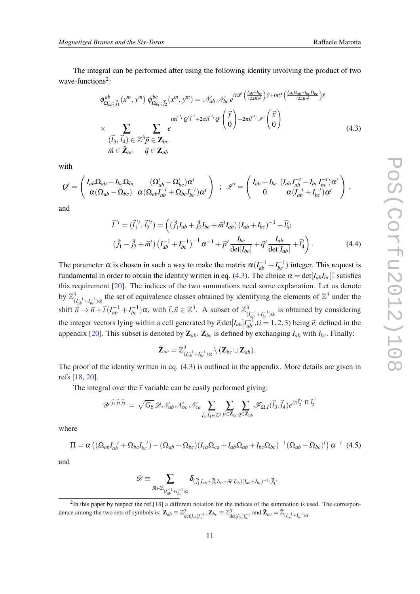<span id="page-10-0"></span>The integral can be performed after using the following identity involving the product of two wave-functions<sup>2</sup>:

$$
\phi_{\Omega_{ab};\vec{j}_{1}}^{ab}(x^{m},y^{m})\,\phi_{\Omega_{bc};\vec{j}_{2}}^{bc}(x^{m},y^{m}) = \mathcal{N}_{ab}\,\mathcal{N}_{bc}\,e^{i\pi\vec{x}^{d}\left(\frac{I_{ab}+I_{bc}}{(2\pi R)^{2}}\right)\vec{y}+i\pi\vec{y}^{d}\left(\frac{I_{ab}L_{ab}-I_{bc}}{(2\pi R)^{2}}\right)\vec{y}}
$$
\n
$$
\times \sum_{\substack{(\vec{l}_{3},\vec{l}_{4}) \in \mathbb{Z}^{3}\vec{p} \in \mathbf{Z}_{bc}}} \sum_{\vec{m} \in \mathbf{\tilde{Z}}_{ac}} e^{i\pi\vec{t}^{\prime t}\cdot\varrho'\left(\vec{y}\right) + 2\pi\vec{u}^{\prime t}\cdot\varphi'\left(\vec{x}\right)} \tag{4.3}
$$

with

$$
Q' = \begin{pmatrix} I_{ab}\Omega_{ab} + I_{bc}\Omega_{bc} & (\Omega'_{ab} - \Omega'_{bc})\alpha^t \\ \alpha(\Omega_{ab} - \Omega_{bc}) & \alpha(\Omega_{ab}I_{ab}^{-t} + \Omega_{bc}I_{bc}^{-t})\alpha^t \end{pmatrix} ; \mathscr{I}' = \begin{pmatrix} I_{ab} + I_{bc} & (I_{ab}I_{ab}^{-t} - I_{bc}I_{bc}^{-t})\alpha^t \\ 0 & \alpha(I_{ab}^{-t} + I_{bc}^{-t})\alpha^t \end{pmatrix},
$$

and

$$
\vec{l}^{'t} = (\vec{l}_1^{'t}, \vec{l}_2^{'t}) = ((\vec{j}_1^{\dagger} I_{ab} + \vec{j}_2^{\dagger} I_{bc} + \vec{m}^{\dagger} I_{ab}) (I_{ab} + I_{bc})^{-1} + \vec{l}_3^t; (\vec{j}_1^{\dagger} - \vec{j}_2^{\dagger} + \vec{m}^{\dagger}) (I_{ab}^{-1} + I_{bc}^{-1})^{-1} \alpha^{-1} + \vec{p}^{\dagger} \frac{I_{bc}}{\det[I_{bc}]} + \vec{q}^{\dagger} \frac{I_{ab}}{\det[I_{ab}]} + \vec{l}_4^t).
$$
\n(4.4)

The parameter  $\alpha$  is chosen in such a way to make the matrix  $\alpha(I_{ab}^{-1} + I_{bc}^{-1})$  integer. This request is fundamental in order to obtain the identity written in eq. (4.3). The choice  $\alpha = \det[I_{ab}I_{bc}]$  satisfies this requirement [\[20\]](#page-14-0). The indices of the two summations need some explanation. Let us denote by  $\mathbb{Z}_q^3$  $\frac{(I_{ab}^{-1}+I_{bc}^{-1})\alpha}{(I_{ab}^{-1}+I_{bc}^{-1})\alpha}$  the set of equivalence classes obtained by identifying the elements of  $\mathbb{Z}^3$  under the shift  $\vec{n} \rightarrow \vec{n} + \vec{t} (I_{ab}^{-1} + I_{bc}^{-1}) \alpha$ , with  $\vec{t}, \vec{n} \in \mathbb{Z}^3$ . A subset of  $\mathbb{Z}_{\beta}^3$  $\int_{(I_{ab}^{-1}+I_{bc}^{-1})\alpha}^{3}$  is obtained by considering the integer vectors lying within a cell generated by  $\vec{e}_i$  det[ $I_{ab}$ ] $I_{ab}^{-1}$ , (*i* = 1, 2, 3) being  $\vec{e}_i$  defined in the appendix [[20\]](#page-14-0). This subset is denoted by  $\mathbb{Z}_{ab}$ .  $\mathbb{Z}_{bc}$  is defined by exchanging  $I_{ab}$  with  $I_{bc}$ . Finally:

$$
\tilde{\mathbf{Z}}_{ac}=\mathbb{Z}^3_{(I_{ab}^{-1}+I_{bc}^{-1})\alpha}\setminus (\mathbf{Z}_{bc}\cup \mathbf{Z}_{ab}).
$$

The proof of the identity written in eq. (4.3) is outlined in the appendix. More details are given in refs [\[18,](#page-14-0) [20](#page-14-0)].

The integral over the  $\vec{x}$  variable can be easily performed giving:

$$
\mathscr{Y}^{\vec{j}_1 \vec{j}_2 \vec{j}_3} = \sqrt{G_6} \mathscr{D} \mathscr{N}_{ab} \mathscr{N}_{bc} \mathscr{N}_{ca} \sum_{\vec{l}_3,\vec{l}_4 \in \mathbb{Z}^3} \sum_{\vec{p} \in \mathbf{Z}_{bc}} \sum_{\vec{q} \in \mathbf{Z}_{ab}} \mathscr{F}_{\Omega,I}(\vec{l}_3,\vec{l}_4) e^{i \pi \vec{l}_2^{\prime \prime}} \ \Pi \ \vec{l}_2^{\prime}
$$

where

$$
\Pi = \alpha \left( (\Omega_{ab} I_{ab}^{-t} + \Omega_{bc} I_{bc}^{-t}) - (\Omega_{ab} - \Omega_{bc}) (I_{ca} \Omega_{ca} + I_{ab} \Omega_{ab} + I_{bc} \Omega_{bc})^{-1} (\Omega_{ab} - \Omega_{bc})^t \right) \alpha^{-t} (4.5)
$$

and

$$
\mathscr{D} \equiv \sum_{\vec{m} \in \tilde{\mathbb{Z}}_{(I_{ab}^{-1}+I_{bc}^{-1})\alpha}} \delta_{(\vec{J}_1^1 I_{ab} + \vec{J}_2^1 I_{bc} + \vec{m}^t I_{ab})(I_{ab}+I_{bc})^{-1}; \vec{J}_3^t}.
$$

 ${}^{2}$ In this paper by respect the ref.[[18\]](#page-14-0) a different notation for the indices of the summation is used. The correspondence among the two sets of symbols is:  $\mathbf{Z}_{ab} \equiv \mathbb{Z}_{\text{det}[I_{ab}]}^3$ ,  $\mathbf{Z}_{bc} \equiv \mathbb{Z}_{\text{det}[I_{bc}]}^3$  and  $\tilde{\mathbf{Z}}_{ac} = \tilde{\mathbb{Z}}_{(I_{ab}^{-1} + I_{bc}^{-1})}$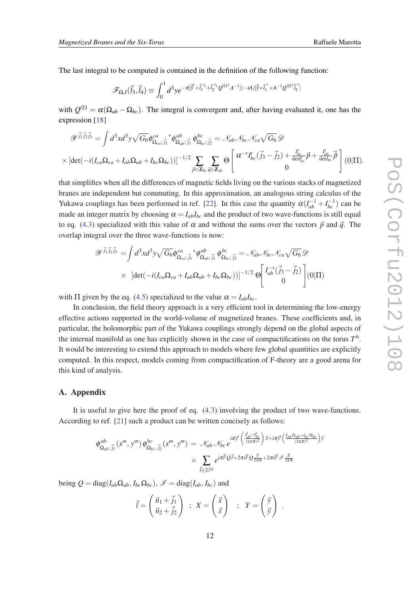The last integral to be computed is contained in the definition of the following function:

$$
\mathscr{F}_{\Omega,I}(\vec{l}_3,\vec{l}_4)\equiv \int_0^1 d^3y e^{-\pi[\vec{y}'+\vec{l}_1{}^{'t}+\vec{l}_2{}^{'t}\mathcal{Q}^{21'}A^{-1}](-iA)[\vec{y}+\vec{l}_1{}^{'+}A^{-1}\mathcal{Q}^{21'}\vec{l}_2{}^{'}]}
$$

with  $Q^{21} = \alpha(\Omega_{ab} - \Omega_{bc})$ . The integral is convergent and, after having evaluated it, one has the expression [\[18](#page-14-0)]

$$
\mathscr{Y}^{\vec{j}_1 \vec{j}_2 \vec{j}_3} = \int d^3x d^3y \sqrt{G_6} \phi^{\text{ca}}_{\Omega_{ca};\vec{j}_1} \phi^{\text{ab}}_{\Omega_{ab};\vec{j}_1} \phi^{\text{bc}}_{\Omega_{bc};\vec{j}_2} = \mathscr{N}_{ab} \mathscr{N}_{bc} \mathscr{N}_{ca} \sqrt{G_6} \mathscr{D}
$$
  
 
$$
\times \left[ \det(-i(I_{ca}\Omega_{ca} + I_{ab}\Omega_{ab} + I_{bc}\Omega_{bc})) \right]^{-1/2} \sum_{\vec{p} \in \mathbb{Z}_{bc}} \sum_{\vec{q} \in \mathbb{Z}_{ab}} \Theta \left[ \begin{array}{c} \alpha^{-t} I_{bc}^t(\vec{j}_3 - \vec{j}_2) + \frac{I_{bc}^t}{\det I_{bc}^t} \vec{p} + \frac{I_{ab}^t}{\det I_{bc}^t} \vec{p} \\ 0 \end{array} \right] (0|\Pi).
$$

that simplifies when all the differences of magnetic fields living on the various stacks of magnetized branes are independent but commuting. In this approximation, an analogous string calculus of the Yukawa couplings has been performed in ref. [[22\]](#page-14-0). In this case the quantity  $\alpha (I_{ab}^{-1} + I_{bc}^{-1})$  can be made an integer matrix by choosing  $\alpha = I_{ab}I_{bc}$  and the product of two wave-functions is still equal to eq. ([4.3\)](#page-10-0) specialized with this value of  $\alpha$  and without the sums over the vectors  $\vec{p}$  and  $\vec{q}$ . The overlap integral over the three wave-functions is now:

$$
\mathscr{Y}^{\vec{j}_1 \vec{j}_2 \vec{j}_3} = \int d^3x d^3y \sqrt{G_6} \phi^{ca}_{\Omega_{ca}; \vec{j}_1}^* \phi^{ab}_{\Omega_{ab}; \vec{j}_1} \phi^{bc}_{\Omega_{bc}; \vec{j}_2} = \mathscr{N}_{ab} \mathscr{N}_{bc} \mathscr{N}_{ca} \sqrt{G_6} \mathscr{D}
$$
  
 
$$
\times \left[ \det(-i(I_{ca}\Omega_{ca} + I_{ab}\Omega_{ab} + I_{bc}\Omega_{bc})) \right]^{-1/2} \Theta \begin{bmatrix} I_{ab}^{-t} (\vec{j}_3 - \vec{j}_2) \\ 0 \end{bmatrix} (0|\Pi)
$$

with  $\Pi$  given by the eq. ([4.5](#page-10-0)) specialized to the value  $\alpha = I_{ab}I_{bc}$ .

In conclusion, the field theory approach is a very efficient tool in determining the low-energy effective actions supported in the world-volume of magnetized branes. These coefficients and, in particular, the holomorphic part of the Yukawa couplings strongly depend on the global aspects of the internal manifold as one has explicitly shown in the case of compactifications on the torus *T* 6 . It would be interesting to extend this approach to models where few global quantities are explicitly computed. In this respect, models coming from compactification of F-theory are a good arena for this kind of analysis.

#### A. Appendix

It is useful to give here the proof of eq. ([4.3](#page-10-0)) involving the product of two wave-functions. According to ref. [\[21](#page-14-0)] such a product can be written concisely as follows:

$$
\phi^{ab}_{\Omega_{ab}; \vec{j}_1}(x^m, y^m) \phi^{bc}_{\Omega_{bc}, \vec{j}_2}(x^m, y^m) = \mathcal{N}_{ab} \mathcal{N}_{bc} e^{i\pi \vec{y}^{\dagger} \left(\frac{I'_{ab} + I'_{bc}}{(2\pi R)^2}\right) \vec{x} + i\pi \vec{y}^{\dagger} \left(\frac{I_{ab}\Omega_{ab} + I_{bc}\Omega_{bc}}{(2\pi R)^2}\right) \vec{y}}
$$
\n
$$
\times \sum_{\vec{l} \in \mathbb{Z}^{2d}} e^{i\pi \vec{l}^{\dagger} Q \vec{l} + 2\pi i \vec{l}^{\dagger} Q \frac{\vec{y}}{2\pi R} + 2\pi i \vec{l}^{\dagger} \mathcal{I} \frac{\vec{x}}{2\pi R}}
$$

being  $Q = \text{diag}(I_{ab}\Omega_{ab}, I_{bc}\Omega_{bc})$ ,  $\mathscr{I} = \text{diag}(I_{ab}, I_{bc})$  and

$$
\vec{l} = \begin{pmatrix} \vec{n}_1 + \vec{j}_1 \\ \vec{n}_2 + \vec{j}_2 \end{pmatrix} ; X = \begin{pmatrix} \vec{x} \\ \vec{x} \end{pmatrix} ; Y = \begin{pmatrix} \vec{y} \\ \vec{y} \end{pmatrix} .
$$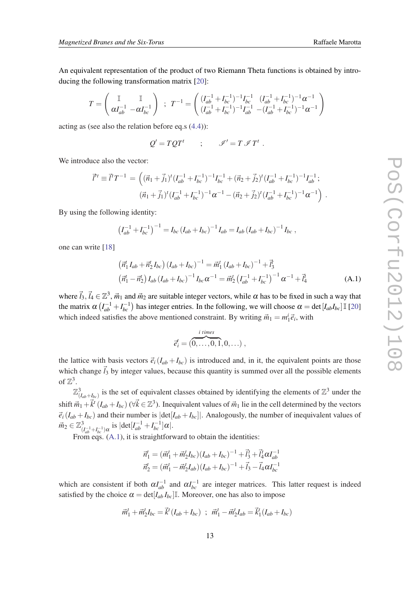<span id="page-12-0"></span>An equivalent representation of the product of two Riemann Theta functions is obtained by introducing the following transformation matrix [\[20](#page-14-0)]:

$$
T = \begin{pmatrix} \mathbb{I} & \mathbb{I} \\ \alpha I_{ab}^{-1} & -\alpha I_{bc}^{-1} \end{pmatrix} ; T^{-1} = \begin{pmatrix} (I_{ab}^{-1} + I_{bc}^{-1})^{-1} I_{bc}^{-1} & (I_{ab}^{-1} + I_{bc}^{-1})^{-1} \alpha^{-1} \\ (I_{ab}^{-1} + I_{bc}^{-1})^{-1} I_{ab}^{-1} & -(I_{ab}^{-1} + I_{bc}^{-1})^{-1} \alpha^{-1} \end{pmatrix}
$$

acting as (see also the relation before eq.s [\(4.4](#page-10-0))):

$$
Q' = TQT^t
$$
 ;  $\mathscr{I}' = T \mathscr{I} T^t$ .

We introduce also the vector:

$$
\vec{l}'^t \equiv \vec{l}' T^{-1} = \left( (\vec{n}_1 + \vec{j}_1)^t (I_{ab}^{-1} + I_{bc}^{-1})^{-1} I_{bc}^{-1} + (\vec{n}_2 + \vec{j}_2)^t (I_{ab}^{-1} + I_{bc}^{-1})^{-1} I_{ab}^{-1};
$$
  

$$
(\vec{n}_1 + \vec{j}_1)^t (I_{ab}^{-1} + I_{bc}^{-1})^{-1} \alpha^{-1} - (\vec{n}_2 + \vec{j}_2)^t (I_{ab}^{-1} + I_{bc}^{-1})^{-1} \alpha^{-1} \right) .
$$

By using the following identity:

$$
\left(I_{ab}^{-1} + I_{bc}^{-1}\right)^{-1} = I_{bc} \left(I_{ab} + I_{bc}\right)^{-1} I_{ab} = I_{ab} \left(I_{ab} + I_{bc}\right)^{-1} I_{bc},
$$

one can write [\[18](#page-14-0)]

$$
\begin{aligned}\n\left(\vec{n}_1^t I_{ab} + \vec{n}_2^t I_{bc}\right) \left(I_{ab} + I_{bc}\right)^{-1} &= \vec{m}_1^t \left(I_{ab} + I_{bc}\right)^{-1} + \vec{l}_3^t \\
\left(\vec{n}_1^t - \vec{n}_2^t\right) I_{ab} \left(I_{ab} + I_{bc}\right)^{-1} I_{bc} \alpha^{-1} &= \vec{m}_2^t \left(I_{ab}^{-1} + I_{bc}^{-1}\right)^{-1} \alpha^{-1} + \vec{l}_4^t\n\end{aligned} \tag{A.1}
$$

where  $\vec{l}_3$ ,  $\vec{l}_4 \in \mathbb{Z}^3$ ,  $\vec{m}_1$  and  $\vec{m}_2$  are suitable integer vectors, while  $\alpha$  has to be fixed in such a way that the matrix  $\alpha (I_{ab}^{-1} + I_{bc}^{-1})$  has integer entries. In the following, we will choose  $\alpha = \det[I_{ab}I_{bc}] \mathbb{I}$  [\[20](#page-14-0)] which indeed satisfies the above mentioned constraint. By writing  $\vec{m}_1 = m_1^i \vec{e}_i$ , with

$$
\vec{e}_i^t = (\overbrace{0,\ldots,0,1}^{i \text{ times}},0,\ldots) \ ,
$$

the lattice with basis vectors  $\vec{e}_i(I_{ab} + I_{bc})$  is introduced and, in it, the equivalent points are those which change  $\vec{l}_3$  by integer values, because this quantity is summed over all the possible elements of  $\mathbb{Z}^3$ .

 $\mathbb{Z}_{(I_{ab}+I_{bc})}^3$  is the set of equivalent classes obtained by identifying the elements of  $\mathbb{Z}^3$  under the shift  $\vec{m}_1+\vec{k}^t(I_{ab}+I_{bc})$  ( $\forall \vec{k} \in \mathbb{Z}^3$ ). Inequivalent values of  $\vec{m}_1$  lie in the cell determined by the vectors  $\vec{e}_i(I_{ab} + I_{bc})$  and their number is  $|\text{det}[I_{ab} + I_{bc}]|$ . Analogously, the number of inequivalent values of  $\vec{m}_2 \in \mathbb{Z}_7^3$  $\frac{3}{(I_{ab}^{-1}+I_{bc}^{-1})\alpha}$  is  $|\text{det}[I_{ab}^{-1}+I_{bc}^{-1}]\alpha|.$ 

From eqs.  $(A.1)$ , it is straightforward to obtain the identities:

$$
\vec{n}_1^t = (\vec{m}_1^t + \vec{m}_2^t I_{bc}) (I_{ab} + I_{bc})^{-1} + \vec{l}_3^t + \vec{l}_4^t \alpha I_{ab}^{-1}
$$
  

$$
\vec{n}_2^t = (\vec{m}_1^t - \vec{m}_2^t I_{ab}) (I_{ab} + I_{bc})^{-1} + \vec{l}_3 - \vec{l}_4 \alpha I_{bc}^{-1}
$$

which are consistent if both  $\alpha I_{ab}^{-1}$  and  $\alpha I_{bc}^{-1}$  are integer matrices. This latter request is indeed satisfied by the choice  $\alpha = \det[I_{ab} I_{bc}]$ <sup>I</sup>. Moreover, one has also to impose

$$
\vec{m}_1^t + \vec{m}_2^t I_{bc} = \vec{k}^t (I_{ab} + I_{bc}) \; ; \; \vec{m}_1^t - \vec{m}_2^t I_{ab} = \vec{k}_1^t (I_{ab} + I_{bc})
$$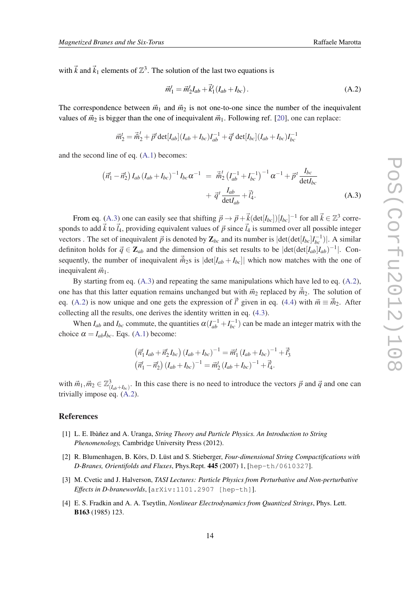<span id="page-13-0"></span>with  $\vec{k}$  and  $\vec{k}_1$  elements of  $\mathbb{Z}^3$ . The solution of the last two equations is

$$
\vec{m}_1^t = \vec{m}_2^t I_{ab} + \vec{k}_1^t (I_{ab} + I_{bc}). \tag{A.2}
$$

The correspondence between  $\vec{m}_1$  and  $\vec{m}_2$  is not one-to-one since the number of the inequivalent values of  $\vec{m}_2$  is bigger than the one of inequivalent  $\vec{m}_1$ . Following ref. [[20\]](#page-14-0), one can replace:

$$
\vec{m}_2^t = \vec{\tilde{m}}_2^t + \vec{p}^t \det[I_{ab}](I_{ab} + I_{bc})I_{ab}^{-1} + \vec{q}^t \det[I_{bc}](I_{ab} + I_{bc})I_{bc}^{-1}
$$

and the second line of eq. ([A.1\)](#page-12-0) becomes:

$$
\left(\vec{n}_1^t - \vec{n}_2^t\right) I_{ab} \left(I_{ab} + I_{bc}\right)^{-1} I_{bc} \alpha^{-1} = \vec{m}_2^t \left(I_{ab}^{-1} + I_{bc}^{-1}\right)^{-1} \alpha^{-1} + \vec{p}^t \frac{I_{bc}}{\det I_{bc}} + \vec{q}^t \frac{I_{ab}}{\det I_{ab}} + \vec{I}_4^t.
$$
\n(A.3)

From eq. (A.3) one can easily see that shifting  $\vec{p} \to \vec{p} + \vec{k}(\det[I_{bc}])[I_{bc}]^{-1}$  for all  $\vec{k} \in \mathbb{Z}^3$  corresponds to add  $\vec{k}$  to  $\vec{l}_4$ , providing equivalent values of  $\vec{p}$  since  $\vec{l}_4$  is summed over all possible integer vectors . The set of inequivalent  $\vec{p}$  is denoted by  $\mathbf{Z}_{bc}$  and its number is  $|\text{det}(\text{det}[I_{bc}]I_{bc}^{-1})|$ . A similar definiton holds for  $\vec{q} \in \mathbb{Z}_{ab}$  and the dimension of this set results to be  $|\text{det}(\text{det}[I_{ab}]I_{ab})^{-1}|$ . Consequently, the number of inequivalent  $\vec{m}_2$ s is  $|\text{det}[I_{ab} + I_{bc}]|$  which now matches with the one of inequivalent  $\vec{m}_1$ .

By starting from eq. (A.3) and repeating the same manipulations which have led to eq. (A.2), one has that this latter equation remains unchanged but with  $\vec{m}_2$  replaced by  $\vec{\hat{m}}_2$ . The solution of eq. (A.2) is now unique and one gets the expression of  $\vec{l}'$  given in eq. [\(4.4\)](#page-10-0) with  $\vec{m} \equiv \vec{m}_2$ . After collecting all the results, one derives the identity written in eq. [\(4.3\)](#page-10-0).

When  $I_{ab}$  and  $I_{bc}$  commute, the quantities  $\alpha (I_{ab}^{-1} + I_{bc}^{-1})$  can be made an integer matrix with the choice  $\alpha = I_{ab}I_{bc}$ . Eqs. [\(A.1](#page-12-0)) become:

$$
\left(\vec{n}_1^t I_{ab} + \vec{n}_2^t I_{bc}\right) \left(I_{ab} + I_{bc}\right)^{-1} = \vec{m}_1^t \left(I_{ab} + I_{bc}\right)^{-1} + \vec{l}_3^t
$$
\n
$$
\left(\vec{n}_1^t - \vec{n}_2^t\right) \left(I_{ab} + I_{bc}\right)^{-1} = \vec{m}_2^t \left(I_{ab} + I_{bc}\right)^{-1} + \vec{l}_4^t.
$$

with  $\vec{m}_1, \vec{m}_2 \in \mathbb{Z}_{(I_{ab}+I_{bc})}^3$ . In this case there is no need to introduce the vectors  $\vec{p}$  and  $\vec{q}$  and one can trivially impose eq. (A.2).

#### References

- [1] L. E. Ibàñez and A. Uranga, *String Theory and Particle Physics. An Introduction to String Phenomenology,* Cambridge University Press (2012).
- [2] R. Blumenhagen, B. Körs, D. Lüst and S. Stieberger, *Four-dimensional String Compactifications with D-Branes, Orientifolds and Fluxes*, Phys.Rept. 445 (2007) 1, [hep-th/0610327].
- [3] M. Cvetic and J. Halverson, *TASI Lectures: Particle Physics from Perturbative and Non-perturbative Effects in D-braneworlds*, [arXiv:1101.2907 [hep-th]].
- [4] E. S. Fradkin and A. A. Tseytlin, *Nonlinear Electrodynamics from Quantized Strings*, Phys. Lett. B163 (1985) 123.